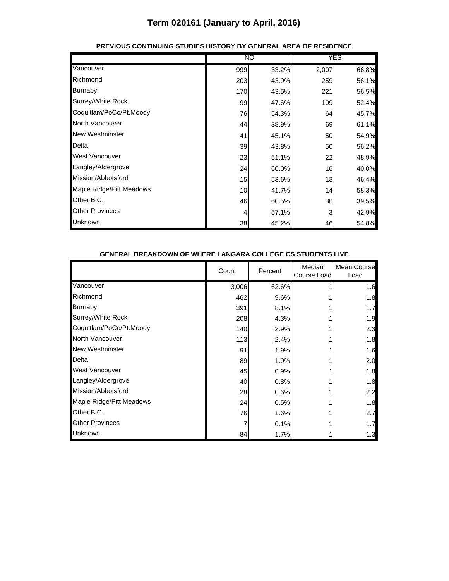|                          | NO  |       | <b>YES</b> |       |
|--------------------------|-----|-------|------------|-------|
| Vancouver                | 999 | 33.2% | 2,007      | 66.8% |
| Richmond                 | 203 | 43.9% | 259        | 56.1% |
| Burnaby                  | 170 | 43.5% | 221        | 56.5% |
| Surrey/White Rock        | 99  | 47.6% | 109        | 52.4% |
| Coquitlam/PoCo/Pt.Moody  | 76  | 54.3% | 64         | 45.7% |
| North Vancouver          | 44  | 38.9% | 69         | 61.1% |
| <b>New Westminster</b>   | 41  | 45.1% | 50         | 54.9% |
| Delta                    | 39  | 43.8% | 50         | 56.2% |
| West Vancouver           | 23  | 51.1% | 22         | 48.9% |
| Langley/Aldergrove       | 24  | 60.0% | 16         | 40.0% |
| Mission/Abbotsford       | 15  | 53.6% | 13         | 46.4% |
| Maple Ridge/Pitt Meadows | 10  | 41.7% | 14         | 58.3% |
| Other B.C.               | 46  | 60.5% | 30         | 39.5% |
| <b>Other Provinces</b>   | 4   | 57.1% | 3          | 42.9% |
| Unknown                  | 38  | 45.2% | 46         | 54.8% |

### **PREVIOUS CONTINUING STUDIES HISTORY BY GENERAL AREA OF RESIDENCE**

#### **GENERAL BREAKDOWN OF WHERE LANGARA COLLEGE CS STUDENTS LIVE**

|                          | Count | Percent | Median<br>Course Load | Mean Course<br>Load |
|--------------------------|-------|---------|-----------------------|---------------------|
| Vancouver                | 3,006 | 62.6%   |                       | 1.6                 |
| Richmond                 | 462   | 9.6%    |                       | 1.8                 |
| <b>Burnaby</b>           | 391   | 8.1%    |                       | 1.7                 |
| Surrey/White Rock        | 208   | 4.3%    |                       | 1.9                 |
| Coquitlam/PoCo/Pt.Moody  | 140   | 2.9%    |                       | 2.3                 |
| <b>North Vancouver</b>   | 113   | 2.4%    |                       | 1.8                 |
| <b>New Westminster</b>   | 91    | 1.9%    |                       | 1.6                 |
| Delta                    | 89    | 1.9%    |                       | 2.0                 |
| West Vancouver           | 45    | 0.9%    |                       | 1.8                 |
| Langley/Aldergrove       | 40    | 0.8%    |                       | 1.8                 |
| Mission/Abbotsford       | 28    | 0.6%    |                       | 2.2                 |
| Maple Ridge/Pitt Meadows | 24    | 0.5%    |                       | 1.8                 |
| Other B.C.               | 76    | 1.6%    |                       | 2.7                 |
| <b>Other Provinces</b>   |       | 0.1%    |                       | 1.7                 |
| Unknown                  | 84    | 1.7%    |                       | 1.3                 |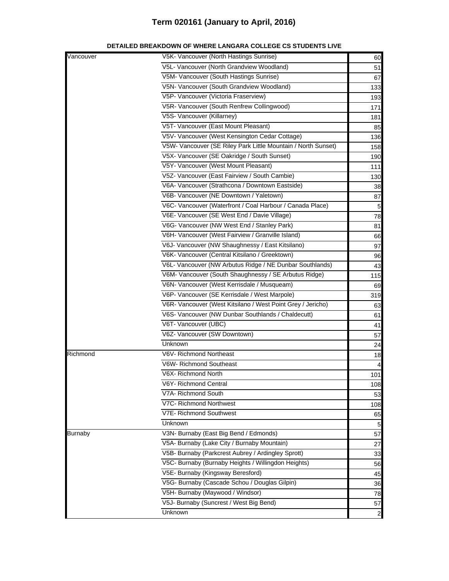| Vancouver      | V5K- Vancouver (North Hastings Sunrise)                       | 60             |
|----------------|---------------------------------------------------------------|----------------|
|                | V5L- Vancouver (North Grandview Woodland)                     | 51             |
|                | V5M- Vancouver (South Hastings Sunrise)                       | 67             |
|                | V5N- Vancouver (South Grandview Woodland)                     | 133            |
|                | V5P- Vancouver (Victoria Fraserview)                          | 193            |
|                | V5R- Vancouver (South Renfrew Collingwood)                    | 171            |
|                | V5S- Vancouver (Killarney)                                    | 181            |
|                | V5T- Vancouver (East Mount Pleasant)                          | 85             |
|                | V5V- Vancouver (West Kensington Cedar Cottage)                | 136            |
|                | V5W- Vancouver (SE Riley Park Little Mountain / North Sunset) | 158            |
|                | V5X- Vancouver (SE Oakridge / South Sunset)                   | 190            |
|                | V5Y- Vancouver (West Mount Pleasant)                          | 111            |
|                | V5Z- Vancouver (East Fairview / South Cambie)                 | 130            |
|                | V6A- Vancouver (Strathcona / Downtown Eastside)               | 38             |
|                | V6B- Vancouver (NE Downtown / Yaletown)                       | 87             |
|                | V6C- Vancouver (Waterfront / Coal Harbour / Canada Place)     | 5              |
|                | V6E- Vancouver (SE West End / Davie Village)                  | 78             |
|                | V6G- Vancouver (NW West End / Stanley Park)                   | 81             |
|                | V6H- Vancouver (West Fairview / Granville Island)             | 66             |
|                | V6J- Vancouver (NW Shaughnessy / East Kitsilano)              | 97             |
|                | V6K- Vancouver (Central Kitsilano / Greektown)                | 96             |
|                | V6L- Vancouver (NW Arbutus Ridge / NE Dunbar Southlands)      | 43             |
|                | V6M- Vancouver (South Shaughnessy / SE Arbutus Ridge)         | 115            |
|                | V6N- Vancouver (West Kerrisdale / Musqueam)                   | 69             |
|                | V6P- Vancouver (SE Kerrisdale / West Marpole)                 | 319            |
|                | V6R- Vancouver (West Kitsilano / West Point Grey / Jericho)   | 63             |
|                | V6S- Vancouver (NW Dunbar Southlands / Chaldecutt)            | 61             |
|                | V6T- Vancouver (UBC)                                          | 41             |
|                | V6Z- Vancouver (SW Downtown)                                  | 57             |
|                | Unknown                                                       | 24             |
| Richmond       | V6V- Richmond Northeast                                       | 18             |
|                | V6W- Richmond Southeast                                       |                |
|                | V6X- Richmond North                                           | 101            |
|                | V6Y- Richmond Central                                         | 108            |
|                | V7A- Richmond South                                           | 53             |
|                | V7C- Richmond Northwest                                       | 108            |
|                | V7E- Richmond Southwest                                       | 65             |
|                | Unknown                                                       | 5              |
| <b>Burnaby</b> | V3N- Burnaby (East Big Bend / Edmonds)                        | 57             |
|                | V5A- Burnaby (Lake City / Burnaby Mountain)                   | 27             |
|                | V5B- Burnaby (Parkcrest Aubrey / Ardingley Sprott)            | 33             |
|                | V5C- Burnaby (Burnaby Heights / Willingdon Heights)           | 56             |
|                | V5E- Burnaby (Kingsway Beresford)                             | 45             |
|                | V5G- Burnaby (Cascade Schou / Douglas Gilpin)                 | 36             |
|                | V5H- Burnaby (Maywood / Windsor)                              | 78             |
|                | V5J- Burnaby (Suncrest / West Big Bend)                       | 57             |
|                | Unknown                                                       | $\overline{a}$ |

### **DETAILED BREAKDOWN OF WHERE LANGARA COLLEGE CS STUDENTS LIVE**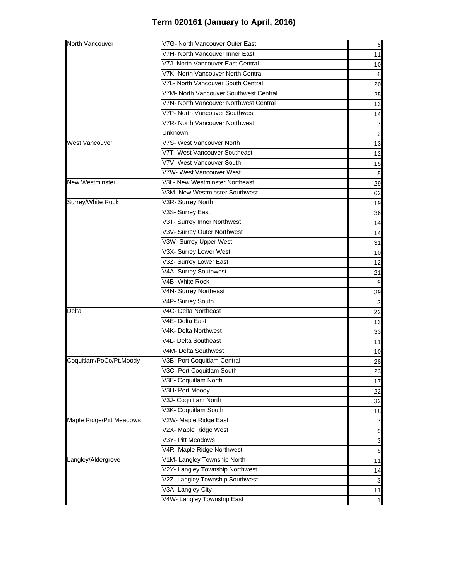| North Vancouver          | V7G- North Vancouver Outer East        | 5              |
|--------------------------|----------------------------------------|----------------|
|                          | V7H- North Vancouver Inner East        | 11             |
|                          | V7J- North Vancouver East Central      | 10             |
|                          | V7K- North Vancouver North Central     | 6              |
|                          | V7L- North Vancouver South Central     | 20             |
|                          | V7M- North Vancouver Southwest Central | 25             |
|                          | V7N- North Vancouver Northwest Central | 13             |
|                          | V7P- North Vancouver Southwest         | 14             |
|                          | V7R- North Vancouver Northwest         | 7              |
|                          | Unknown                                | $\overline{a}$ |
| West Vancouver           | V7S- West Vancouver North              | 13             |
|                          | V7T- West Vancouver Southeast          | 12             |
|                          | V7V- West Vancouver South              | 15             |
|                          | V7W- West Vancouver West               | 5              |
| <b>New Westminster</b>   | V3L- New Westminster Northeast         | 29             |
|                          | V3M- New Westminster Southwest         | 62             |
| Surrey/White Rock        | V3R- Surrey North                      | 19             |
|                          | V3S- Surrey East                       | 36             |
|                          | V3T- Surrey Inner Northwest            | 14             |
|                          | V3V- Surrey Outer Northwest            | 14             |
|                          | V3W- Surrey Upper West                 | 31             |
|                          | V3X- Surrey Lower West                 | 10             |
|                          | V3Z- Surrey Lower East                 | 12             |
|                          | V4A- Surrey Southwest                  | 21             |
|                          | V4B- White Rock                        | 9              |
|                          | V4N- Surrey Northeast                  | 39             |
|                          | V4P- Surrey South                      | 3              |
| Delta                    | V4C- Delta Northeast                   | 22             |
|                          | V4E- Delta East                        | 13             |
|                          | V4K- Delta Northwest                   | 33             |
|                          | V4L- Delta Southeast                   | 11             |
|                          | V4M- Delta Southwest                   | 10             |
| Coquitlam/PoCo/Pt.Moody  | V3B- Port Coquitlam Central            | 28             |
|                          | V3C- Port Coquitlam South              | 23             |
|                          | V3E- Coquitlam North                   | 17             |
|                          | V3H- Port Moody                        | 22             |
|                          | V3J- Coquitlam North                   | 32             |
|                          | V3K- Coquitlam South                   | 18             |
| Maple Ridge/Pitt Meadows | V2W- Maple Ridge East                  | 7              |
|                          | V2X- Maple Ridge West                  | 9              |
|                          | V3Y- Pitt Meadows                      | 3              |
|                          | V4R- Maple Ridge Northwest             | 5              |
| Langley/Aldergrove       | V1M- Langley Township North            | 11             |
|                          | V2Y- Langley Township Northwest        | 14             |
|                          | V2Z- Langley Township Southwest        | 3              |
|                          | V3A- Langley City                      | 11             |
|                          | V4W- Langley Township East             | $\mathbf{1}$   |